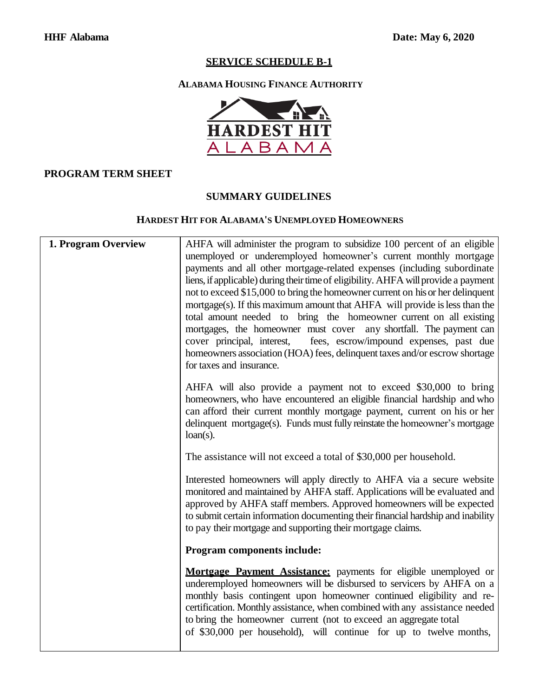# **ALABAMA HOUSING FINANCE AUTHORITY**



#### **PROGRAM TERM SHEET**

#### **SUMMARY GUIDELINES**

#### **HARDEST HIT FOR ALABAMA'S UNEMPLOYED HOMEOWNERS**

| 1. Program Overview | AHFA will administer the program to subsidize 100 percent of an eligible<br>unemployed or underemployed homeowner's current monthly mortgage<br>payments and all other mortgage-related expenses (including subordinate<br>liens, if applicable) during their time of eligibility. AHFA will provide a payment<br>not to exceed \$15,000 to bring the homeowner current on his or her delinquent<br>mortgage(s). If this maximum amount that AHFA will provide is less than the<br>total amount needed to bring the homeowner current on all existing<br>mortgages, the homeowner must cover any shortfall. The payment can<br>cover principal, interest,<br>fees, escrow/impound expenses, past due<br>homeowners association (HOA) fees, delinquent taxes and/or escrow shortage<br>for taxes and insurance. |
|---------------------|----------------------------------------------------------------------------------------------------------------------------------------------------------------------------------------------------------------------------------------------------------------------------------------------------------------------------------------------------------------------------------------------------------------------------------------------------------------------------------------------------------------------------------------------------------------------------------------------------------------------------------------------------------------------------------------------------------------------------------------------------------------------------------------------------------------|
|                     | AHFA will also provide a payment not to exceed \$30,000 to bring<br>homeowners, who have encountered an eligible financial hardship and who<br>can afford their current monthly mortgage payment, current on his or her<br>delinquent mortgage(s). Funds must fully reinstate the homeowner's mortgage<br>$loan(s)$ .                                                                                                                                                                                                                                                                                                                                                                                                                                                                                          |
|                     | The assistance will not exceed a total of \$30,000 per household.                                                                                                                                                                                                                                                                                                                                                                                                                                                                                                                                                                                                                                                                                                                                              |
|                     | Interested homeowners will apply directly to AHFA via a secure website<br>monitored and maintained by AHFA staff. Applications will be evaluated and<br>approved by AHFA staff members. Approved homeowners will be expected<br>to submit certain information documenting their financial hardship and inability<br>to pay their mortgage and supporting their mortgage claims.                                                                                                                                                                                                                                                                                                                                                                                                                                |
|                     | Program components include:                                                                                                                                                                                                                                                                                                                                                                                                                                                                                                                                                                                                                                                                                                                                                                                    |
|                     | Mortgage Payment Assistance: payments for eligible unemployed or<br>underemployed homeowners will be disbursed to servicers by AHFA on a<br>monthly basis contingent upon homeowner continued eligibility and re-<br>certification. Monthly assistance, when combined with any assistance needed<br>to bring the homeowner current (not to exceed an aggregate total<br>of \$30,000 per household), will continue for up to twelve months,                                                                                                                                                                                                                                                                                                                                                                     |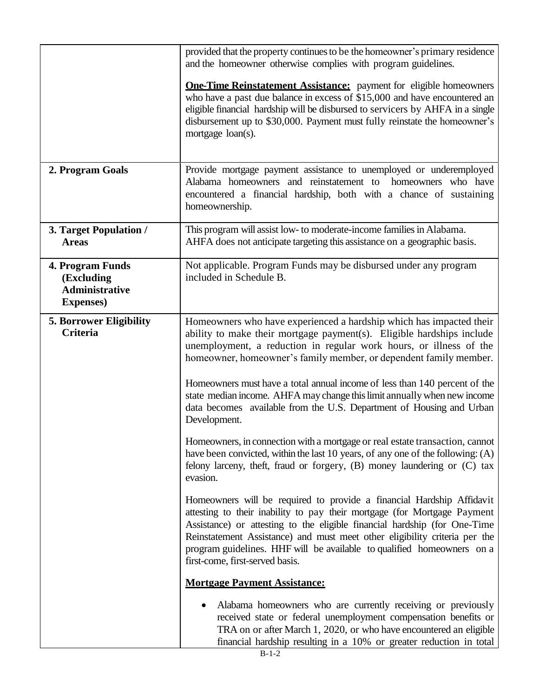|                                                                              | provided that the property continues to be the homeowner's primary residence<br>and the homeowner otherwise complies with program guidelines.                                                                                                                                                                                                                                                                             |
|------------------------------------------------------------------------------|---------------------------------------------------------------------------------------------------------------------------------------------------------------------------------------------------------------------------------------------------------------------------------------------------------------------------------------------------------------------------------------------------------------------------|
|                                                                              | <b>One-Time Reinstatement Assistance:</b> payment for eligible homeowners<br>who have a past due balance in excess of \$15,000 and have encountered an<br>eligible financial hardship will be disbursed to servicers by AHFA in a single<br>disbursement up to \$30,000. Payment must fully reinstate the homeowner's<br>mortgage loan(s).                                                                                |
| 2. Program Goals                                                             | Provide mortgage payment assistance to unemployed or underemployed<br>Alabama homeowners and reinstatement to<br>homeowners who have<br>encountered a financial hardship, both with a chance of sustaining<br>homeownership.                                                                                                                                                                                              |
| 3. Target Population /<br><b>Areas</b>                                       | This program will assist low- to moderate-income families in Alabama.<br>AHFA does not anticipate targeting this assistance on a geographic basis.                                                                                                                                                                                                                                                                        |
| 4. Program Funds<br>(Excluding<br><b>Administrative</b><br><b>Expenses</b> ) | Not applicable. Program Funds may be disbursed under any program<br>included in Schedule B.                                                                                                                                                                                                                                                                                                                               |
| <b>5. Borrower Eligibility</b><br><b>Criteria</b>                            | Homeowners who have experienced a hardship which has impacted their<br>ability to make their mortgage payment(s). Eligible hardships include<br>unemployment, a reduction in regular work hours, or illness of the<br>homeowner, homeowner's family member, or dependent family member.                                                                                                                                   |
|                                                                              | Homeowners must have a total annual income of less than 140 percent of the<br>state median income. AHFA may change this limit annually when new income<br>data becomes available from the U.S. Department of Housing and Urban<br>Development.                                                                                                                                                                            |
|                                                                              | Homeowners, in connection with a mortgage or real estate transaction, cannot<br>have been convicted, within the last 10 years, of any one of the following: (A)<br>felony larceny, theft, fraud or forgery, (B) money laundering or (C) tax<br>evasion.                                                                                                                                                                   |
|                                                                              | Homeowners will be required to provide a financial Hardship Affidavit<br>attesting to their inability to pay their mortgage (for Mortgage Payment<br>Assistance) or attesting to the eligible financial hardship (for One-Time<br>Reinstatement Assistance) and must meet other eligibility criteria per the<br>program guidelines. HHF will be available to qualified homeowners on a<br>first-come, first-served basis. |
|                                                                              | <b>Mortgage Payment Assistance:</b>                                                                                                                                                                                                                                                                                                                                                                                       |
|                                                                              | Alabama homeowners who are currently receiving or previously<br>received state or federal unemployment compensation benefits or<br>TRA on or after March 1, 2020, or who have encountered an eligible<br>financial hardship resulting in a 10% or greater reduction in total                                                                                                                                              |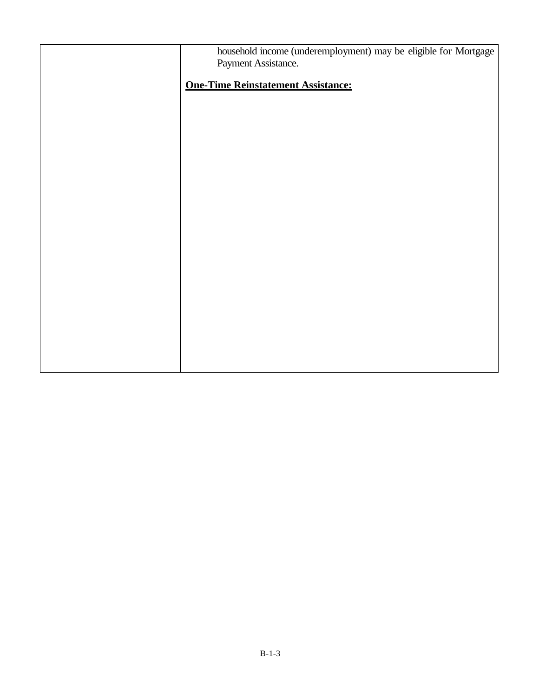| household income (underemployment) may be eligible for Mortgage<br>Payment Assistance. |
|----------------------------------------------------------------------------------------|
| <b>One-Time Reinstatement Assistance:</b>                                              |
|                                                                                        |
|                                                                                        |
|                                                                                        |
|                                                                                        |
|                                                                                        |
|                                                                                        |
|                                                                                        |
|                                                                                        |
|                                                                                        |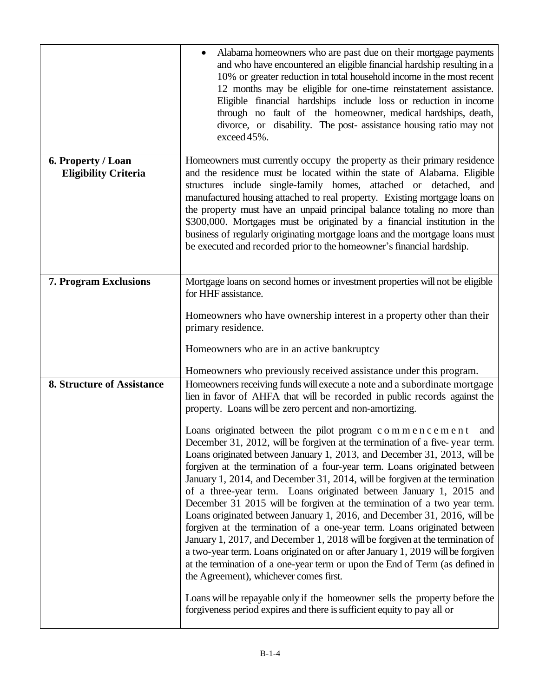|                                                   | Alabama homeowners who are past due on their mortgage payments<br>and who have encountered an eligible financial hardship resulting in a<br>10% or greater reduction in total household income in the most recent<br>12 months may be eligible for one-time reinstatement assistance.<br>Eligible financial hardships include loss or reduction in income<br>through no fault of the homeowner, medical hardships, death,<br>divorce, or disability. The post-assistance housing ratio may not<br>exceed 45%.                                                                                                                                                                                                                                                                                                                                                                                                                                                                                                                                                                                                                                                                                                                                                                                                                                                                                                                                               |
|---------------------------------------------------|-------------------------------------------------------------------------------------------------------------------------------------------------------------------------------------------------------------------------------------------------------------------------------------------------------------------------------------------------------------------------------------------------------------------------------------------------------------------------------------------------------------------------------------------------------------------------------------------------------------------------------------------------------------------------------------------------------------------------------------------------------------------------------------------------------------------------------------------------------------------------------------------------------------------------------------------------------------------------------------------------------------------------------------------------------------------------------------------------------------------------------------------------------------------------------------------------------------------------------------------------------------------------------------------------------------------------------------------------------------------------------------------------------------------------------------------------------------|
| 6. Property / Loan<br><b>Eligibility Criteria</b> | Homeowners must currently occupy the property as their primary residence<br>and the residence must be located within the state of Alabama. Eligible<br>structures include single-family homes, attached or detached, and<br>manufactured housing attached to real property. Existing mortgage loans on<br>the property must have an unpaid principal balance totaling no more than<br>\$300,000. Mortgages must be originated by a financial institution in the<br>business of regularly originating mortgage loans and the mortgage loans must<br>be executed and recorded prior to the homeowner's financial hardship.                                                                                                                                                                                                                                                                                                                                                                                                                                                                                                                                                                                                                                                                                                                                                                                                                                    |
| <b>7. Program Exclusions</b>                      | Mortgage loans on second homes or investment properties will not be eligible<br>for HHF assistance.<br>Homeowners who have ownership interest in a property other than their<br>primary residence.<br>Homeowners who are in an active bankruptcy                                                                                                                                                                                                                                                                                                                                                                                                                                                                                                                                                                                                                                                                                                                                                                                                                                                                                                                                                                                                                                                                                                                                                                                                            |
| <b>8. Structure of Assistance</b>                 | Homeowners who previously received assistance under this program.<br>Homeowners receiving funds will execute a note and a subordinate mortgage<br>lien in favor of AHFA that will be recorded in public records against the<br>property. Loans will be zero percent and non-amortizing.<br>Loans originated between the pilot program c o m m e n c e m e n t<br>and<br>December 31, 2012, will be forgiven at the termination of a five-year term.<br>Loans originated between January 1, 2013, and December 31, 2013, will be<br>forgiven at the termination of a four-year term. Loans originated between<br>January 1, 2014, and December 31, 2014, will be forgiven at the termination<br>of a three-year term. Loans originated between January 1, 2015 and<br>December 31 2015 will be forgiven at the termination of a two year term.<br>Loans originated between January 1, 2016, and December 31, 2016, will be<br>forgiven at the termination of a one-year term. Loans originated between<br>January 1, 2017, and December 1, 2018 will be forgiven at the termination of<br>a two-year term. Loans originated on or after January 1, 2019 will be forgiven<br>at the termination of a one-year term or upon the End of Term (as defined in<br>the Agreement), whichever comes first.<br>Loans will be repayable only if the homeowner sells the property before the<br>forgiveness period expires and there is sufficient equity to pay all or |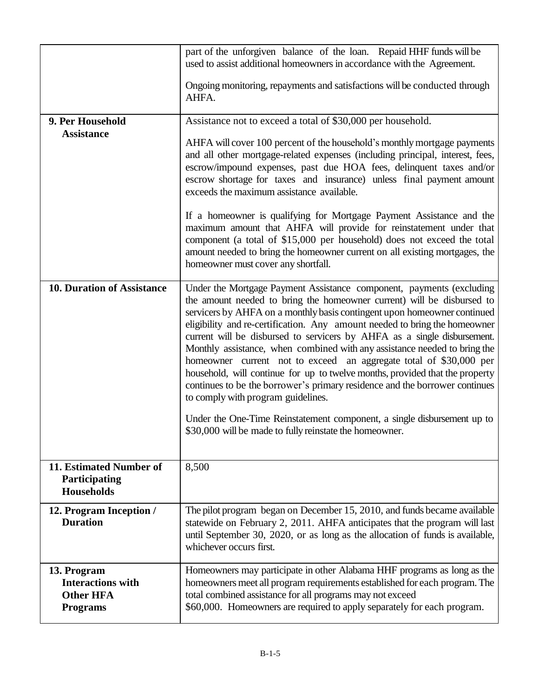|                                                               | part of the unforgiven balance of the loan. Repaid HHF funds will be<br>used to assist additional homeowners in accordance with the Agreement.                                                                                                                                                                                                                                                                                                                                                                                                                                                                                                                                                                                                                                                                                                                                     |
|---------------------------------------------------------------|------------------------------------------------------------------------------------------------------------------------------------------------------------------------------------------------------------------------------------------------------------------------------------------------------------------------------------------------------------------------------------------------------------------------------------------------------------------------------------------------------------------------------------------------------------------------------------------------------------------------------------------------------------------------------------------------------------------------------------------------------------------------------------------------------------------------------------------------------------------------------------|
|                                                               |                                                                                                                                                                                                                                                                                                                                                                                                                                                                                                                                                                                                                                                                                                                                                                                                                                                                                    |
|                                                               | Ongoing monitoring, repayments and satisfactions will be conducted through<br>AHFA.                                                                                                                                                                                                                                                                                                                                                                                                                                                                                                                                                                                                                                                                                                                                                                                                |
| 9. Per Household                                              | Assistance not to exceed a total of \$30,000 per household.                                                                                                                                                                                                                                                                                                                                                                                                                                                                                                                                                                                                                                                                                                                                                                                                                        |
| <b>Assistance</b>                                             |                                                                                                                                                                                                                                                                                                                                                                                                                                                                                                                                                                                                                                                                                                                                                                                                                                                                                    |
|                                                               | AHFA will cover 100 percent of the household's monthly mortgage payments<br>and all other mortgage-related expenses (including principal, interest, fees,<br>escrow/impound expenses, past due HOA fees, delinquent taxes and/or<br>escrow shortage for taxes and insurance) unless final payment amount<br>exceeds the maximum assistance available.                                                                                                                                                                                                                                                                                                                                                                                                                                                                                                                              |
|                                                               | If a homeowner is qualifying for Mortgage Payment Assistance and the<br>maximum amount that AHFA will provide for reinstatement under that<br>component (a total of \$15,000 per household) does not exceed the total<br>amount needed to bring the homeowner current on all existing mortgages, the<br>homeowner must cover any shortfall.                                                                                                                                                                                                                                                                                                                                                                                                                                                                                                                                        |
| <b>10. Duration of Assistance</b>                             | Under the Mortgage Payment Assistance component, payments (excluding<br>the amount needed to bring the homeowner current) will be disbursed to<br>servicers by AHFA on a monthly basis contingent upon homeowner continued<br>eligibility and re-certification. Any amount needed to bring the homeowner<br>current will be disbursed to servicers by AHFA as a single disbursement.<br>Monthly assistance, when combined with any assistance needed to bring the<br>homeowner current not to exceed an aggregate total of \$30,000 per<br>household, will continue for up to twelve months, provided that the property<br>continues to be the borrower's primary residence and the borrower continues<br>to comply with program guidelines.<br>Under the One-Time Reinstatement component, a single disbursement up to<br>\$30,000 will be made to fully reinstate the homeowner. |
|                                                               |                                                                                                                                                                                                                                                                                                                                                                                                                                                                                                                                                                                                                                                                                                                                                                                                                                                                                    |
| 11. Estimated Number of<br>Participating<br><b>Households</b> | 8,500                                                                                                                                                                                                                                                                                                                                                                                                                                                                                                                                                                                                                                                                                                                                                                                                                                                                              |
| 12. Program Inception /<br><b>Duration</b>                    | The pilot program began on December 15, 2010, and funds became available<br>statewide on February 2, 2011. AHFA anticipates that the program will last<br>until September 30, 2020, or as long as the allocation of funds is available,<br>whichever occurs first.                                                                                                                                                                                                                                                                                                                                                                                                                                                                                                                                                                                                                 |
| 13. Program                                                   | Homeowners may participate in other Alabama HHF programs as long as the                                                                                                                                                                                                                                                                                                                                                                                                                                                                                                                                                                                                                                                                                                                                                                                                            |
| <b>Interactions with</b>                                      | homeowners meet all program requirements established for each program. The                                                                                                                                                                                                                                                                                                                                                                                                                                                                                                                                                                                                                                                                                                                                                                                                         |
| <b>Other HFA</b>                                              | total combined assistance for all programs may not exceed<br>\$60,000. Homeowners are required to apply separately for each program.                                                                                                                                                                                                                                                                                                                                                                                                                                                                                                                                                                                                                                                                                                                                               |
| <b>Programs</b>                                               |                                                                                                                                                                                                                                                                                                                                                                                                                                                                                                                                                                                                                                                                                                                                                                                                                                                                                    |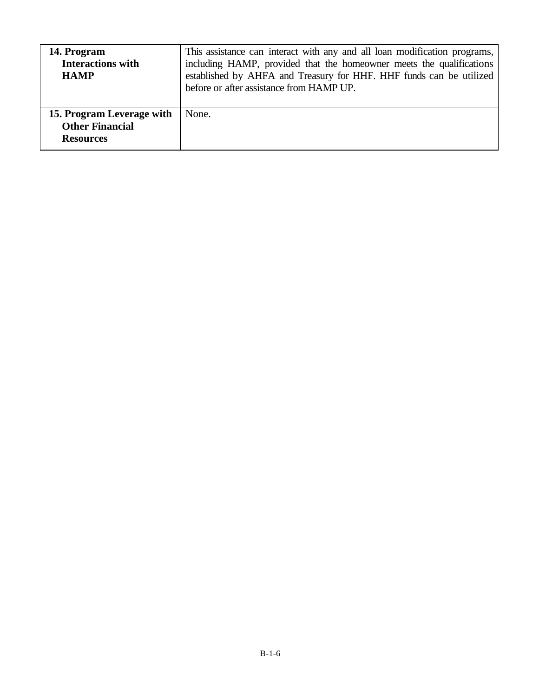| 14. Program<br><b>Interactions with</b><br><b>HAMP</b>                  | This assistance can interact with any and all loan modification programs,<br>including HAMP, provided that the homeowner meets the qualifications<br>established by AHFA and Treasury for HHF. HHF funds can be utilized<br>before or after assistance from HAMP UP. |
|-------------------------------------------------------------------------|----------------------------------------------------------------------------------------------------------------------------------------------------------------------------------------------------------------------------------------------------------------------|
| 15. Program Leverage with<br><b>Other Financial</b><br><b>Resources</b> | None.                                                                                                                                                                                                                                                                |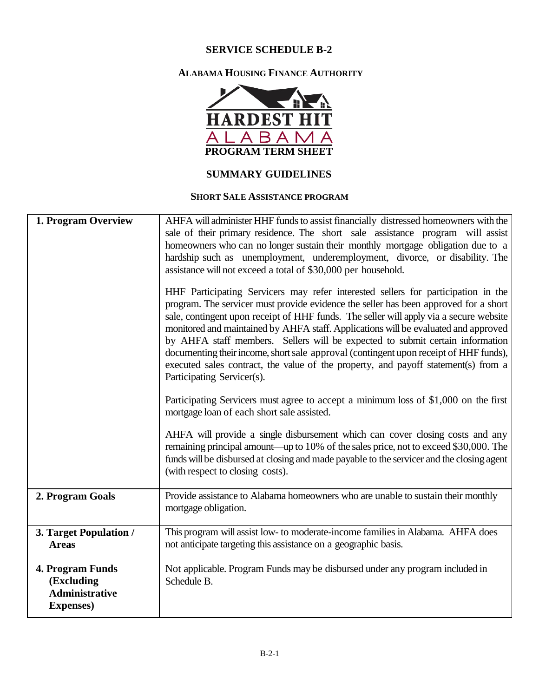#### **ALABAMA HOUSING FINANCE AUTHORITY**



#### **SUMMARY GUIDELINES**

#### **SHORT SALE ASSISTANCE PROGRAM**

| 1. Program Overview                                                          | AHFA will administer HHF funds to assist financially distressed homeowners with the<br>sale of their primary residence. The short sale assistance program will assist<br>homeowners who can no longer sustain their monthly mortgage obligation due to a<br>hardship such as unemployment, underemployment, divorce, or disability. The<br>assistance will not exceed a total of \$30,000 per household.<br>HHF Participating Servicers may refer interested sellers for participation in the<br>program. The servicer must provide evidence the seller has been approved for a short<br>sale, contingent upon receipt of HHF funds. The seller will apply via a secure website<br>monitored and maintained by AHFA staff. Applications will be evaluated and approved<br>by AHFA staff members. Sellers will be expected to submit certain information<br>documenting their income, short sale approval (contingent upon receipt of HHF funds),<br>executed sales contract, the value of the property, and payoff statement(s) from a<br>Participating Servicer(s).<br>Participating Servicers must agree to accept a minimum loss of \$1,000 on the first<br>mortgage loan of each short sale assisted.<br>AHFA will provide a single disbursement which can cover closing costs and any<br>remaining principal amount—up to 10% of the sales price, not to exceed \$30,000. The<br>funds will be disbursed at closing and made payable to the servicer and the closing agent<br>(with respect to closing costs). |
|------------------------------------------------------------------------------|---------------------------------------------------------------------------------------------------------------------------------------------------------------------------------------------------------------------------------------------------------------------------------------------------------------------------------------------------------------------------------------------------------------------------------------------------------------------------------------------------------------------------------------------------------------------------------------------------------------------------------------------------------------------------------------------------------------------------------------------------------------------------------------------------------------------------------------------------------------------------------------------------------------------------------------------------------------------------------------------------------------------------------------------------------------------------------------------------------------------------------------------------------------------------------------------------------------------------------------------------------------------------------------------------------------------------------------------------------------------------------------------------------------------------------------------------------------------------------------------------------------------|
| 2. Program Goals                                                             | Provide assistance to Alabama homeowners who are unable to sustain their monthly<br>mortgage obligation.                                                                                                                                                                                                                                                                                                                                                                                                                                                                                                                                                                                                                                                                                                                                                                                                                                                                                                                                                                                                                                                                                                                                                                                                                                                                                                                                                                                                            |
| 3. Target Population /<br><b>Areas</b>                                       | This program will assist low- to moderate-income families in Alabama. AHFA does<br>not anticipate targeting this assistance on a geographic basis.                                                                                                                                                                                                                                                                                                                                                                                                                                                                                                                                                                                                                                                                                                                                                                                                                                                                                                                                                                                                                                                                                                                                                                                                                                                                                                                                                                  |
| 4. Program Funds<br>(Excluding<br><b>Administrative</b><br><b>Expenses</b> ) | Not applicable. Program Funds may be disbursed under any program included in<br>Schedule B.                                                                                                                                                                                                                                                                                                                                                                                                                                                                                                                                                                                                                                                                                                                                                                                                                                                                                                                                                                                                                                                                                                                                                                                                                                                                                                                                                                                                                         |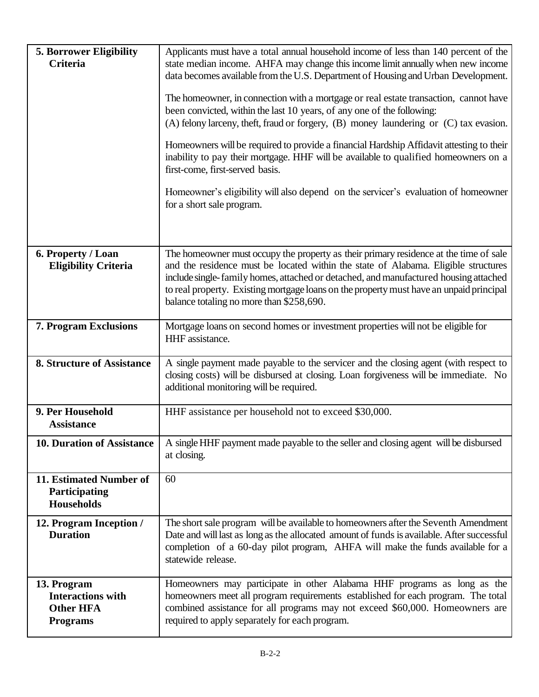| <b>5. Borrower Eligibility</b><br>Criteria                                     | Applicants must have a total annual household income of less than 140 percent of the<br>state median income. AHFA may change this income limit annually when new income<br>data becomes available from the U.S. Department of Housing and Urban Development.<br>The homeowner, in connection with a mortgage or real estate transaction, cannot have<br>been convicted, within the last 10 years, of any one of the following:<br>$(A)$ felony larceny, theft, fraud or forgery, $(B)$ money laundering or $(C)$ tax evasion.<br>Homeowners will be required to provide a financial Hardship Affidavit attesting to their<br>inability to pay their mortgage. HHF will be available to qualified homeowners on a<br>first-come, first-served basis.<br>Homeowner's eligibility will also depend on the servicer's evaluation of homeowner<br>for a short sale program. |
|--------------------------------------------------------------------------------|------------------------------------------------------------------------------------------------------------------------------------------------------------------------------------------------------------------------------------------------------------------------------------------------------------------------------------------------------------------------------------------------------------------------------------------------------------------------------------------------------------------------------------------------------------------------------------------------------------------------------------------------------------------------------------------------------------------------------------------------------------------------------------------------------------------------------------------------------------------------|
| 6. Property / Loan<br><b>Eligibility Criteria</b>                              | The homeowner must occupy the property as their primary residence at the time of sale<br>and the residence must be located within the state of Alabama. Eligible structures<br>include single-family homes, attached or detached, and manufactured housing attached<br>to real property. Existing mortgage loans on the property must have an unpaid principal<br>balance totaling no more than \$258,690.                                                                                                                                                                                                                                                                                                                                                                                                                                                             |
| 7. Program Exclusions                                                          | Mortgage loans on second homes or investment properties will not be eligible for<br>HHF assistance.                                                                                                                                                                                                                                                                                                                                                                                                                                                                                                                                                                                                                                                                                                                                                                    |
| <b>8. Structure of Assistance</b>                                              | A single payment made payable to the servicer and the closing agent (with respect to<br>closing costs) will be disbursed at closing. Loan forgiveness will be immediate. No<br>additional monitoring will be required.                                                                                                                                                                                                                                                                                                                                                                                                                                                                                                                                                                                                                                                 |
| 9. Per Household<br><b>Assistance</b>                                          | HHF assistance per household not to exceed \$30,000.                                                                                                                                                                                                                                                                                                                                                                                                                                                                                                                                                                                                                                                                                                                                                                                                                   |
| <b>10. Duration of Assistance</b>                                              | A single HHF payment made payable to the seller and closing agent will be disbursed<br>at closing.                                                                                                                                                                                                                                                                                                                                                                                                                                                                                                                                                                                                                                                                                                                                                                     |
| 11. Estimated Number of<br>Participating<br><b>Households</b>                  | 60                                                                                                                                                                                                                                                                                                                                                                                                                                                                                                                                                                                                                                                                                                                                                                                                                                                                     |
| 12. Program Inception /<br><b>Duration</b>                                     | The short sale program will be available to homeowners after the Seventh Amendment<br>Date and will last as long as the allocated amount of funds is available. After successful<br>completion of a 60-day pilot program, AHFA will make the funds available for a<br>statewide release.                                                                                                                                                                                                                                                                                                                                                                                                                                                                                                                                                                               |
| 13. Program<br><b>Interactions with</b><br><b>Other HFA</b><br><b>Programs</b> | Homeowners may participate in other Alabama HHF programs as long as the<br>homeowners meet all program requirements established for each program. The total<br>combined assistance for all programs may not exceed \$60,000. Homeowners are<br>required to apply separately for each program.                                                                                                                                                                                                                                                                                                                                                                                                                                                                                                                                                                          |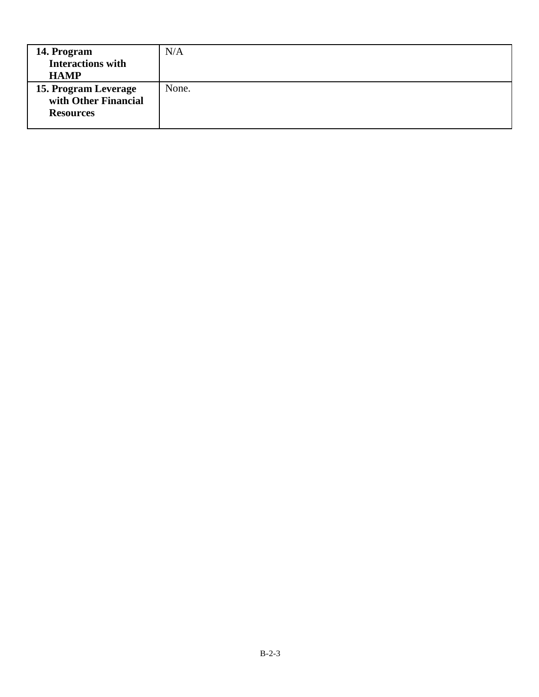| 14. Program<br><b>Interactions with</b><br><b>HAMP</b>           | N/A   |
|------------------------------------------------------------------|-------|
| 15. Program Leverage<br>with Other Financial<br><b>Resources</b> | None. |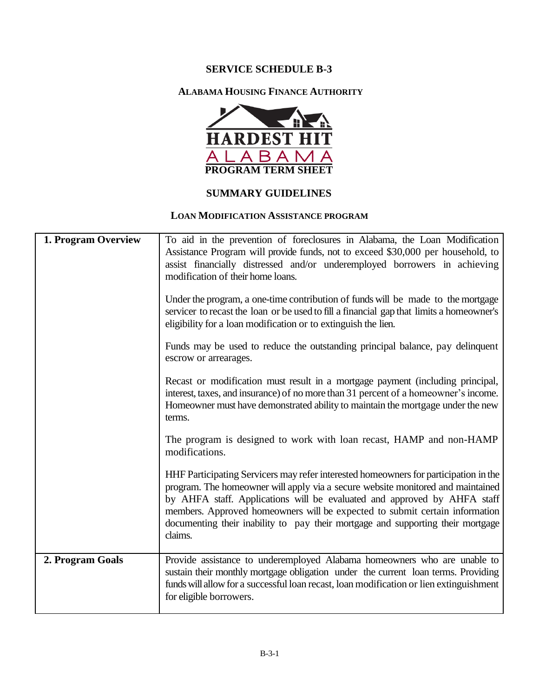#### **ALABAMA HOUSING FINANCE AUTHORITY**



## **SUMMARY GUIDELINES**

#### **LOAN MODIFICATION ASSISTANCE PROGRAM**

| 1. Program Overview | To aid in the prevention of foreclosures in Alabama, the Loan Modification<br>Assistance Program will provide funds, not to exceed \$30,000 per household, to<br>assist financially distressed and/or underemployed borrowers in achieving<br>modification of their home loans.                                                                                                                                                  |
|---------------------|----------------------------------------------------------------------------------------------------------------------------------------------------------------------------------------------------------------------------------------------------------------------------------------------------------------------------------------------------------------------------------------------------------------------------------|
|                     | Under the program, a one-time contribution of funds will be made to the mortgage<br>servicer to recast the loan or be used to fill a financial gap that limits a homeowner's<br>eligibility for a loan modification or to extinguish the lien.                                                                                                                                                                                   |
|                     | Funds may be used to reduce the outstanding principal balance, pay delinquent<br>escrow or arrearages.                                                                                                                                                                                                                                                                                                                           |
|                     | Recast or modification must result in a mortgage payment (including principal,<br>interest, taxes, and insurance) of no more than 31 percent of a homeowner's income.<br>Homeowner must have demonstrated ability to maintain the mortgage under the new<br>terms.                                                                                                                                                               |
|                     | The program is designed to work with loan recast, HAMP and non-HAMP<br>modifications.                                                                                                                                                                                                                                                                                                                                            |
|                     | HHF Participating Servicers may refer interested homeowners for participation in the<br>program. The homeowner will apply via a secure website monitored and maintained<br>by AHFA staff. Applications will be evaluated and approved by AHFA staff<br>members. Approved homeowners will be expected to submit certain information<br>documenting their inability to pay their mortgage and supporting their mortgage<br>claims. |
| 2. Program Goals    | Provide assistance to underemployed Alabama homeowners who are unable to<br>sustain their monthly mortgage obligation under the current loan terms. Providing<br>funds will allow for a successful loan recast, loan modification or lien extinguishment<br>for eligible borrowers.                                                                                                                                              |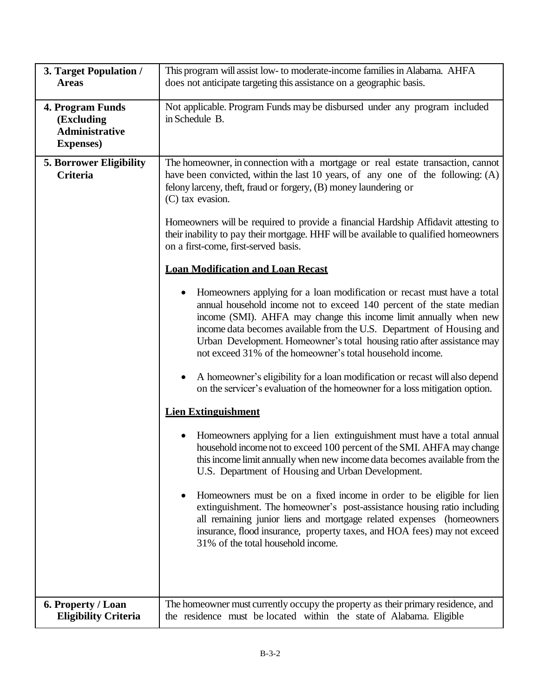| 3. Target Population /                                                              | This program will assist low- to moderate-income families in Alabama. AHFA                                                                                                                                                                                                                                                                                                                                                                                                                                                                                                                                                                                                                                                                                                                                                                                                                                                                                                                                                                                                                                                                                                                                                                                                                                                                                                                                                                                                                                                                                                                                                                                                                                                                                                                                              |
|-------------------------------------------------------------------------------------|-------------------------------------------------------------------------------------------------------------------------------------------------------------------------------------------------------------------------------------------------------------------------------------------------------------------------------------------------------------------------------------------------------------------------------------------------------------------------------------------------------------------------------------------------------------------------------------------------------------------------------------------------------------------------------------------------------------------------------------------------------------------------------------------------------------------------------------------------------------------------------------------------------------------------------------------------------------------------------------------------------------------------------------------------------------------------------------------------------------------------------------------------------------------------------------------------------------------------------------------------------------------------------------------------------------------------------------------------------------------------------------------------------------------------------------------------------------------------------------------------------------------------------------------------------------------------------------------------------------------------------------------------------------------------------------------------------------------------------------------------------------------------------------------------------------------------|
| <b>Areas</b>                                                                        | does not anticipate targeting this assistance on a geographic basis.                                                                                                                                                                                                                                                                                                                                                                                                                                                                                                                                                                                                                                                                                                                                                                                                                                                                                                                                                                                                                                                                                                                                                                                                                                                                                                                                                                                                                                                                                                                                                                                                                                                                                                                                                    |
| <b>4. Program Funds</b><br>(Excluding<br><b>Administrative</b><br><b>Expenses</b> ) | Not applicable. Program Funds may be disbursed under any program included<br>in Schedule B.                                                                                                                                                                                                                                                                                                                                                                                                                                                                                                                                                                                                                                                                                                                                                                                                                                                                                                                                                                                                                                                                                                                                                                                                                                                                                                                                                                                                                                                                                                                                                                                                                                                                                                                             |
| <b>5. Borrower Eligibility</b><br><b>Criteria</b>                                   | The homeowner, in connection with a mortgage or real estate transaction, cannot<br>have been convicted, within the last 10 years, of any one of the following: $(A)$<br>felony larceny, theft, fraud or forgery, (B) money laundering or<br>(C) tax evasion.<br>Homeowners will be required to provide a financial Hardship Affidavit attesting to<br>their inability to pay their mortgage. HHF will be available to qualified homeowners<br>on a first-come, first-served basis.<br><b>Loan Modification and Loan Recast</b><br>Homeowners applying for a loan modification or recast must have a total<br>annual household income not to exceed 140 percent of the state median<br>income (SMI). AHFA may change this income limit annually when new<br>income data becomes available from the U.S. Department of Housing and<br>Urban Development. Homeowner's total housing ratio after assistance may<br>not exceed 31% of the homeowner's total household income.<br>A homeowner's eligibility for a loan modification or recast will also depend<br>$\bullet$<br>on the servicer's evaluation of the homeowner for a loss mitigation option.<br><b>Lien Extinguishment</b><br>Homeowners applying for a lien extinguishment must have a total annual<br>household income not to exceed 100 percent of the SMI. AHFA may change<br>this income limit annually when new income data becomes available from the<br>U.S. Department of Housing and Urban Development.<br>Homeowners must be on a fixed income in order to be eligible for lien<br>extinguishment. The homeowner's post-assistance housing ratio including<br>all remaining junior liens and mortgage related expenses (homeowners<br>insurance, flood insurance, property taxes, and HOA fees) may not exceed<br>31% of the total household income. |
| 6. Property / Loan                                                                  | The homeowner must currently occupy the property as their primary residence, and                                                                                                                                                                                                                                                                                                                                                                                                                                                                                                                                                                                                                                                                                                                                                                                                                                                                                                                                                                                                                                                                                                                                                                                                                                                                                                                                                                                                                                                                                                                                                                                                                                                                                                                                        |
| <b>Eligibility Criteria</b>                                                         | the residence must be located within the state of Alabama. Eligible                                                                                                                                                                                                                                                                                                                                                                                                                                                                                                                                                                                                                                                                                                                                                                                                                                                                                                                                                                                                                                                                                                                                                                                                                                                                                                                                                                                                                                                                                                                                                                                                                                                                                                                                                     |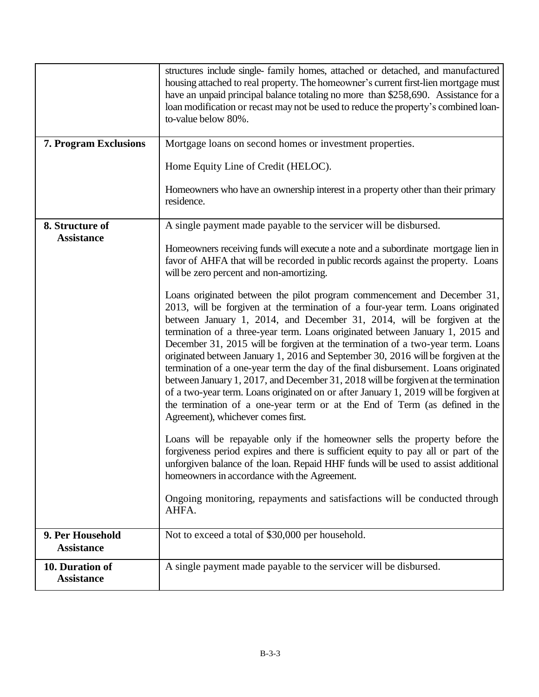|                                       | structures include single- family homes, attached or detached, and manufactured<br>housing attached to real property. The homeowner's current first-lien mortgage must<br>have an unpaid principal balance totaling no more than \$258,690. Assistance for a<br>loan modification or recast may not be used to reduce the property's combined loan-<br>to-value below 80%.                                                                                                                                                                                                                                                                                                                                                                                                                                                                                                                |
|---------------------------------------|-------------------------------------------------------------------------------------------------------------------------------------------------------------------------------------------------------------------------------------------------------------------------------------------------------------------------------------------------------------------------------------------------------------------------------------------------------------------------------------------------------------------------------------------------------------------------------------------------------------------------------------------------------------------------------------------------------------------------------------------------------------------------------------------------------------------------------------------------------------------------------------------|
| <b>7. Program Exclusions</b>          | Mortgage loans on second homes or investment properties.                                                                                                                                                                                                                                                                                                                                                                                                                                                                                                                                                                                                                                                                                                                                                                                                                                  |
|                                       | Home Equity Line of Credit (HELOC).                                                                                                                                                                                                                                                                                                                                                                                                                                                                                                                                                                                                                                                                                                                                                                                                                                                       |
|                                       | Homeowners who have an ownership interest in a property other than their primary<br>residence.                                                                                                                                                                                                                                                                                                                                                                                                                                                                                                                                                                                                                                                                                                                                                                                            |
| 8. Structure of<br><b>Assistance</b>  | A single payment made payable to the servicer will be disbursed.                                                                                                                                                                                                                                                                                                                                                                                                                                                                                                                                                                                                                                                                                                                                                                                                                          |
|                                       | Homeowners receiving funds will execute a note and a subordinate mortgage lien in<br>favor of AHFA that will be recorded in public records against the property. Loans<br>will be zero percent and non-amortizing.                                                                                                                                                                                                                                                                                                                                                                                                                                                                                                                                                                                                                                                                        |
|                                       | Loans originated between the pilot program commencement and December 31,<br>2013, will be forgiven at the termination of a four-year term. Loans originated<br>between January 1, 2014, and December 31, 2014, will be forgiven at the<br>termination of a three-year term. Loans originated between January 1, 2015 and<br>December 31, 2015 will be forgiven at the termination of a two-year term. Loans<br>originated between January 1, 2016 and September 30, 2016 will be forgiven at the<br>termination of a one-year term the day of the final disbursement. Loans originated<br>between January 1, 2017, and December 31, 2018 will be forgiven at the termination<br>of a two-year term. Loans originated on or after January 1, 2019 will be forgiven at<br>the termination of a one-year term or at the End of Term (as defined in the<br>Agreement), whichever comes first. |
|                                       | Loans will be repayable only if the homeowner sells the property before the<br>forgiveness period expires and there is sufficient equity to pay all or part of the<br>unforgiven balance of the loan. Repaid HHF funds will be used to assist additional<br>homeowners in accordance with the Agreement.                                                                                                                                                                                                                                                                                                                                                                                                                                                                                                                                                                                  |
|                                       | Ongoing monitoring, repayments and satisfactions will be conducted through<br>AHFA.                                                                                                                                                                                                                                                                                                                                                                                                                                                                                                                                                                                                                                                                                                                                                                                                       |
| 9. Per Household<br><b>Assistance</b> | Not to exceed a total of \$30,000 per household.                                                                                                                                                                                                                                                                                                                                                                                                                                                                                                                                                                                                                                                                                                                                                                                                                                          |
| 10. Duration of<br><b>Assistance</b>  | A single payment made payable to the servicer will be disbursed.                                                                                                                                                                                                                                                                                                                                                                                                                                                                                                                                                                                                                                                                                                                                                                                                                          |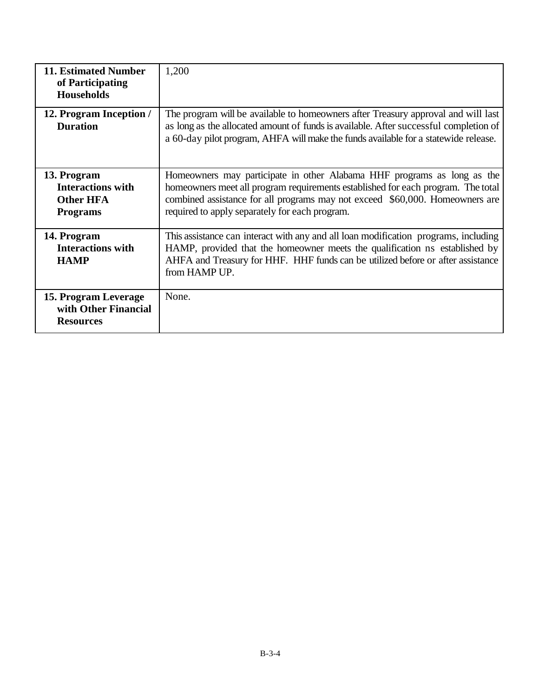| <b>11. Estimated Number</b><br>of Participating<br><b>Households</b>           | 1,200                                                                                                                                                                                                                                                                                         |
|--------------------------------------------------------------------------------|-----------------------------------------------------------------------------------------------------------------------------------------------------------------------------------------------------------------------------------------------------------------------------------------------|
| 12. Program Inception /<br><b>Duration</b>                                     | The program will be available to homeowners after Treasury approval and will last<br>as long as the allocated amount of funds is available. After successful completion of<br>a 60-day pilot program, AHFA will make the funds available for a statewide release.                             |
| 13. Program<br><b>Interactions with</b><br><b>Other HFA</b><br><b>Programs</b> | Homeowners may participate in other Alabama HHF programs as long as the<br>homeowners meet all program requirements established for each program. The total<br>combined assistance for all programs may not exceed \$60,000. Homeowners are<br>required to apply separately for each program. |
| 14. Program<br><b>Interactions with</b><br><b>HAMP</b>                         | This assistance can interact with any and all loan modification programs, including<br>HAMP, provided that the homeowner meets the qualification ns established by<br>AHFA and Treasury for HHF. HHF funds can be utilized before or after assistance<br>from HAMP UP.                        |
| 15. Program Leverage<br>with Other Financial<br><b>Resources</b>               | None.                                                                                                                                                                                                                                                                                         |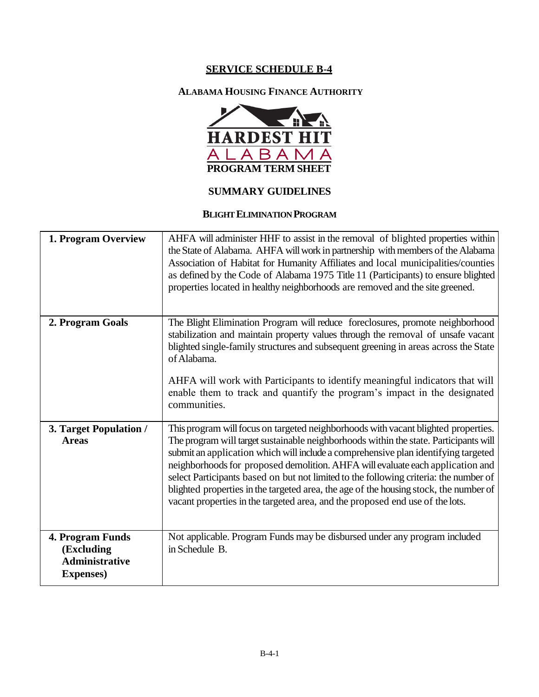# **ALABAMA HOUSING FINANCE AUTHORITY**



## **SUMMARY GUIDELINES**

#### **BLIGHT ELIMINATION PROGRAM**

| 1. Program Overview                                                          | AHFA will administer HHF to assist in the removal of blighted properties within<br>the State of Alabama. AHFA will work in partnership with members of the Alabama<br>Association of Habitat for Humanity Affiliates and local municipalities/counties<br>as defined by the Code of Alabama 1975 Title 11 (Participants) to ensure blighted<br>properties located in healthy neighborhoods are removed and the site greened.                                                                                                                                                                                           |
|------------------------------------------------------------------------------|------------------------------------------------------------------------------------------------------------------------------------------------------------------------------------------------------------------------------------------------------------------------------------------------------------------------------------------------------------------------------------------------------------------------------------------------------------------------------------------------------------------------------------------------------------------------------------------------------------------------|
| 2. Program Goals                                                             | The Blight Elimination Program will reduce foreclosures, promote neighborhood<br>stabilization and maintain property values through the removal of unsafe vacant<br>blighted single-family structures and subsequent greening in areas across the State<br>of Alabama.<br>AHFA will work with Participants to identify meaningful indicators that will<br>enable them to track and quantify the program's impact in the designated<br>communities.                                                                                                                                                                     |
| 3. Target Population /<br><b>Areas</b>                                       | This program will focus on targeted neighborhoods with vacant blighted properties.<br>The program will target sustainable neighborhoods within the state. Participants will<br>submit an application which will include a comprehensive plan identifying targeted<br>neighborhoods for proposed demolition. AHFA will evaluate each application and<br>select Participants based on but not limited to the following criteria: the number of<br>blighted properties in the targeted area, the age of the housing stock, the number of<br>vacant properties in the targeted area, and the proposed end use of the lots. |
| 4. Program Funds<br>(Excluding<br><b>Administrative</b><br><b>Expenses</b> ) | Not applicable. Program Funds may be disbursed under any program included<br>in Schedule B.                                                                                                                                                                                                                                                                                                                                                                                                                                                                                                                            |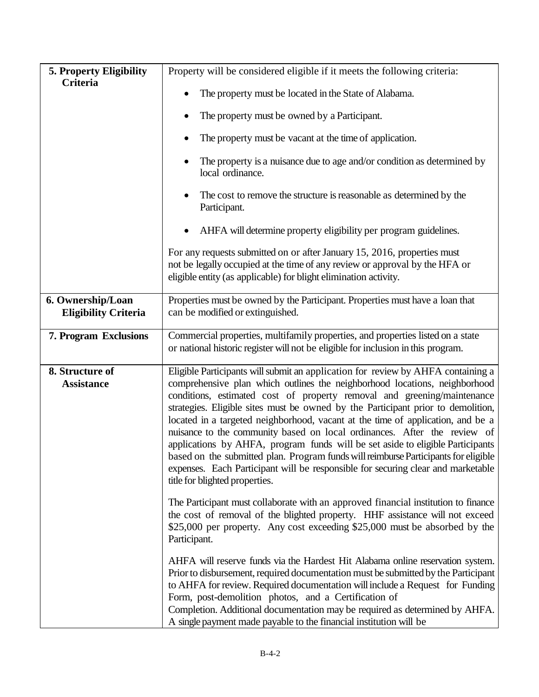| 5. Property Eligibility                          | Property will be considered eligible if it meets the following criteria:                                                                                                                                                                                                                                                                                                                                                                                                                                                                                                                                                                                                                                                                                                                    |  |  |  |  |
|--------------------------------------------------|---------------------------------------------------------------------------------------------------------------------------------------------------------------------------------------------------------------------------------------------------------------------------------------------------------------------------------------------------------------------------------------------------------------------------------------------------------------------------------------------------------------------------------------------------------------------------------------------------------------------------------------------------------------------------------------------------------------------------------------------------------------------------------------------|--|--|--|--|
| Criteria                                         | The property must be located in the State of Alabama.                                                                                                                                                                                                                                                                                                                                                                                                                                                                                                                                                                                                                                                                                                                                       |  |  |  |  |
|                                                  | The property must be owned by a Participant.                                                                                                                                                                                                                                                                                                                                                                                                                                                                                                                                                                                                                                                                                                                                                |  |  |  |  |
|                                                  | The property must be vacant at the time of application.                                                                                                                                                                                                                                                                                                                                                                                                                                                                                                                                                                                                                                                                                                                                     |  |  |  |  |
|                                                  | The property is a nuisance due to age and/or condition as determined by<br>local ordinance.                                                                                                                                                                                                                                                                                                                                                                                                                                                                                                                                                                                                                                                                                                 |  |  |  |  |
|                                                  | The cost to remove the structure is reasonable as determined by the<br>Participant.                                                                                                                                                                                                                                                                                                                                                                                                                                                                                                                                                                                                                                                                                                         |  |  |  |  |
|                                                  | AHFA will determine property eligibility per program guidelines.                                                                                                                                                                                                                                                                                                                                                                                                                                                                                                                                                                                                                                                                                                                            |  |  |  |  |
|                                                  | For any requests submitted on or after January 15, 2016, properties must<br>not be legally occupied at the time of any review or approval by the HFA or<br>eligible entity (as applicable) for blight elimination activity.                                                                                                                                                                                                                                                                                                                                                                                                                                                                                                                                                                 |  |  |  |  |
| 6. Ownership/Loan<br><b>Eligibility Criteria</b> | Properties must be owned by the Participant. Properties must have a loan that<br>can be modified or extinguished.                                                                                                                                                                                                                                                                                                                                                                                                                                                                                                                                                                                                                                                                           |  |  |  |  |
| 7. Program Exclusions                            | Commercial properties, multifamily properties, and properties listed on a state<br>or national historic register will not be eligible for inclusion in this program.                                                                                                                                                                                                                                                                                                                                                                                                                                                                                                                                                                                                                        |  |  |  |  |
| 8. Structure of<br><b>Assistance</b>             | Eligible Participants will submit an application for review by AHFA containing a<br>comprehensive plan which outlines the neighborhood locations, neighborhood<br>conditions, estimated cost of property removal and greening/maintenance<br>strategies. Eligible sites must be owned by the Participant prior to demolition,<br>located in a targeted neighborhood, vacant at the time of application, and be a<br>nuisance to the community based on local ordinances. After the review of<br>applications by AHFA, program funds will be set aside to eligible Participants<br>based on the submitted plan. Program funds will reimburse Participants for eligible<br>expenses. Each Participant will be responsible for securing clear and marketable<br>title for blighted properties. |  |  |  |  |
|                                                  | The Participant must collaborate with an approved financial institution to finance<br>the cost of removal of the blighted property. HHF assistance will not exceed<br>\$25,000 per property. Any cost exceeding \$25,000 must be absorbed by the<br>Participant.                                                                                                                                                                                                                                                                                                                                                                                                                                                                                                                            |  |  |  |  |
|                                                  | AHFA will reserve funds via the Hardest Hit Alabama online reservation system.<br>Prior to disbursement, required documentation must be submitted by the Participant<br>to AHFA for review. Required documentation will include a Request for Funding<br>Form, post-demolition photos, and a Certification of<br>Completion. Additional documentation may be required as determined by AHFA.<br>A single payment made payable to the financial institution will be                                                                                                                                                                                                                                                                                                                          |  |  |  |  |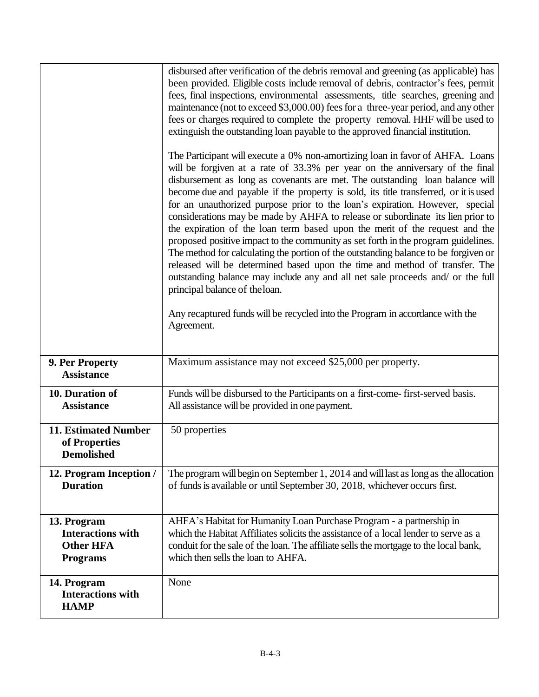|                                                                                | disbursed after verification of the debris removal and greening (as applicable) has<br>been provided. Eligible costs include removal of debris, contractor's fees, permit<br>fees, final inspections, environmental assessments, title searches, greening and<br>maintenance (not to exceed \$3,000.00) fees for a three-year period, and any other<br>fees or charges required to complete the property removal. HHF will be used to<br>extinguish the outstanding loan payable to the approved financial institution.<br>The Participant will execute a 0% non-amortizing loan in favor of AHFA. Loans<br>will be forgiven at a rate of 33.3% per year on the anniversary of the final<br>disbursement as long as covenants are met. The outstanding loan balance will<br>become due and payable if the property is sold, its title transferred, or it is used<br>for an unauthorized purpose prior to the loan's expiration. However, special<br>considerations may be made by AHFA to release or subordinate its lien prior to<br>the expiration of the loan term based upon the merit of the request and the<br>proposed positive impact to the community as set forth in the program guidelines.<br>The method for calculating the portion of the outstanding balance to be forgiven or<br>released will be determined based upon the time and method of transfer. The<br>outstanding balance may include any and all net sale proceeds and/ or the full<br>principal balance of the loan.<br>Any recaptured funds will be recycled into the Program in accordance with the<br>Agreement. |
|--------------------------------------------------------------------------------|-------------------------------------------------------------------------------------------------------------------------------------------------------------------------------------------------------------------------------------------------------------------------------------------------------------------------------------------------------------------------------------------------------------------------------------------------------------------------------------------------------------------------------------------------------------------------------------------------------------------------------------------------------------------------------------------------------------------------------------------------------------------------------------------------------------------------------------------------------------------------------------------------------------------------------------------------------------------------------------------------------------------------------------------------------------------------------------------------------------------------------------------------------------------------------------------------------------------------------------------------------------------------------------------------------------------------------------------------------------------------------------------------------------------------------------------------------------------------------------------------------------------------------------------------------------------------------------------------|
| 9. Per Property<br><b>Assistance</b>                                           | Maximum assistance may not exceed \$25,000 per property.                                                                                                                                                                                                                                                                                                                                                                                                                                                                                                                                                                                                                                                                                                                                                                                                                                                                                                                                                                                                                                                                                                                                                                                                                                                                                                                                                                                                                                                                                                                                        |
|                                                                                |                                                                                                                                                                                                                                                                                                                                                                                                                                                                                                                                                                                                                                                                                                                                                                                                                                                                                                                                                                                                                                                                                                                                                                                                                                                                                                                                                                                                                                                                                                                                                                                                 |
| 10. Duration of<br><b>Assistance</b>                                           | Funds will be disbursed to the Participants on a first-come-first-served basis.<br>All assistance will be provided in one payment.                                                                                                                                                                                                                                                                                                                                                                                                                                                                                                                                                                                                                                                                                                                                                                                                                                                                                                                                                                                                                                                                                                                                                                                                                                                                                                                                                                                                                                                              |
| 11. Estimated Number<br>of Properties<br><b>Demolished</b>                     | 50 properties                                                                                                                                                                                                                                                                                                                                                                                                                                                                                                                                                                                                                                                                                                                                                                                                                                                                                                                                                                                                                                                                                                                                                                                                                                                                                                                                                                                                                                                                                                                                                                                   |
| 12. Program Inception /<br><b>Duration</b>                                     | The program will begin on September 1, 2014 and will last as long as the allocation<br>of funds is available or until September 30, 2018, whichever occurs first.                                                                                                                                                                                                                                                                                                                                                                                                                                                                                                                                                                                                                                                                                                                                                                                                                                                                                                                                                                                                                                                                                                                                                                                                                                                                                                                                                                                                                               |
| 13. Program<br><b>Interactions with</b><br><b>Other HFA</b><br><b>Programs</b> | AHFA's Habitat for Humanity Loan Purchase Program - a partnership in<br>which the Habitat Affiliates solicits the assistance of a local lender to serve as a<br>conduit for the sale of the loan. The affiliate sells the mortgage to the local bank,<br>which then sells the loan to AHFA.                                                                                                                                                                                                                                                                                                                                                                                                                                                                                                                                                                                                                                                                                                                                                                                                                                                                                                                                                                                                                                                                                                                                                                                                                                                                                                     |
| 14. Program<br><b>Interactions with</b><br><b>HAMP</b>                         | None                                                                                                                                                                                                                                                                                                                                                                                                                                                                                                                                                                                                                                                                                                                                                                                                                                                                                                                                                                                                                                                                                                                                                                                                                                                                                                                                                                                                                                                                                                                                                                                            |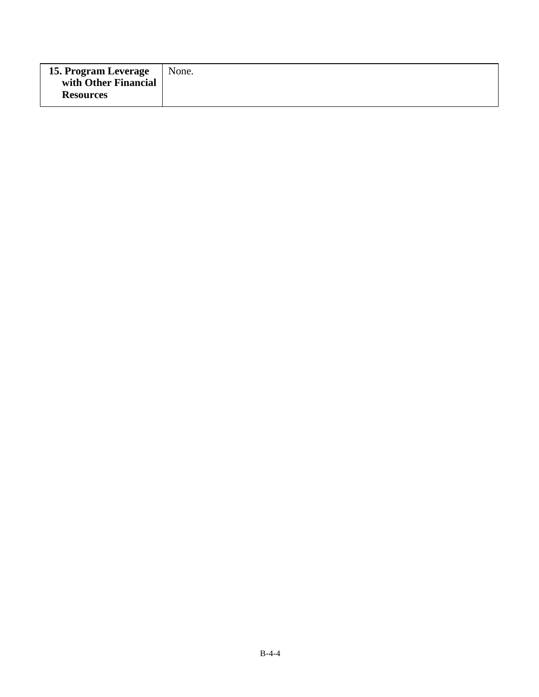| <b>15. Program Leverage</b> | None. |
|-----------------------------|-------|
| with Other Financial        |       |
| <b>Resources</b>            |       |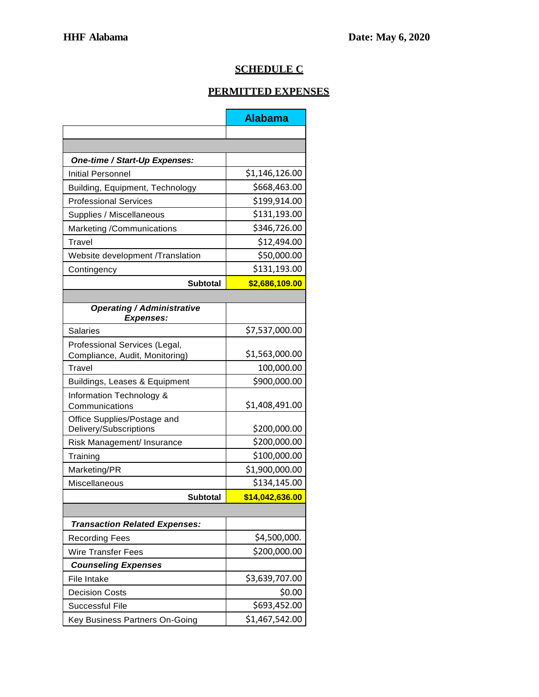# **SCHEDULE C**

# **PERMITTED EXPENSES**

|                                                       | <b>Alabama</b>  |
|-------------------------------------------------------|-----------------|
|                                                       |                 |
|                                                       |                 |
| One-time / Start-Up Expenses:                         |                 |
| Initial Personnel                                     | \$1,146,126.00  |
| Building, Equipment, Technology                       | \$668,463.00    |
| <b>Professional Services</b>                          | \$199,914.00    |
| Supplies / Miscellaneous                              | \$131,193.00    |
| Marketing /Communications                             | \$346,726.00    |
| Travel                                                | \$12,494.00     |
| Website development /Translation                      | \$50,000.00     |
| Contingency                                           | \$131,193.00    |
| <b>Subtotal</b>                                       | \$2,686,109.00  |
|                                                       |                 |
| <b>Operating / Administrative</b><br><b>Expenses:</b> |                 |
| Salaries                                              | \$7,537,000.00  |
| Professional Services (Legal,                         |                 |
| Compliance, Audit, Monitoring)                        | \$1,563,000.00  |
| Travel                                                | 100,000.00      |
| Buildings, Leases & Equipment                         | \$900,000.00    |
| Information Technology &<br>Communications            | \$1,408,491.00  |
| Office Supplies/Postage and<br>Delivery/Subscriptions | \$200,000.00    |
| Risk Management/ Insurance                            | \$200,000.00    |
| Training                                              | \$100,000.00    |
| Marketing/PR                                          | \$1,900,000.00  |
| Miscellaneous                                         | \$134,145.00    |
| <b>Subtotal</b>                                       | \$14,042,636.00 |
|                                                       |                 |
| <b>Transaction Related Expenses:</b>                  |                 |
| <b>Recording Fees</b>                                 | \$4,500,000.    |
| <b>Wire Transfer Fees</b>                             | \$200,000.00    |
| <b>Counseling Expenses</b>                            |                 |
| File Intake                                           | \$3,639,707.00  |
| <b>Decision Costs</b>                                 | \$0.00          |
| <b>Successful File</b>                                | \$693,452.00    |
| Key Business Partners On-Going                        | \$1,467,542.00  |